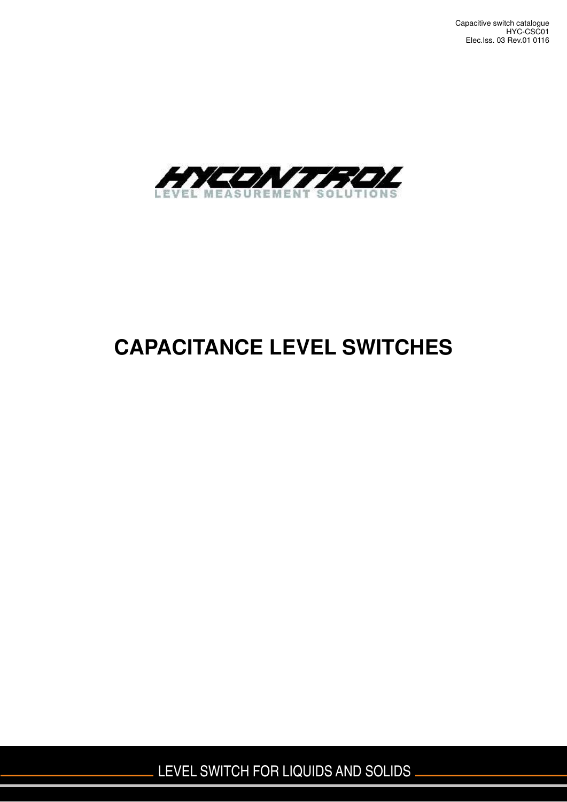

# **CAPACITANCE LEVEL SWITCHES**

LEVEL SWITCH FOR LIQUIDS AND SOLIDS .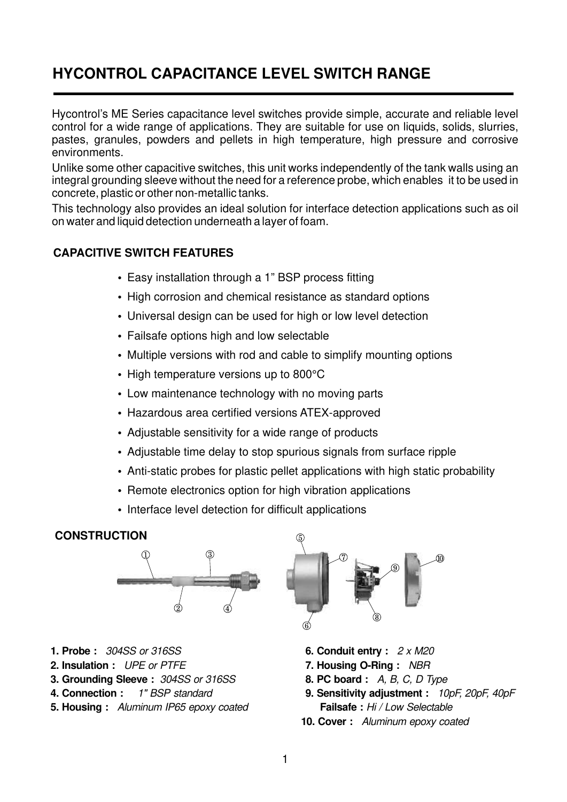### **HYCONTROL CAPACITANCE LEVEL SWITCH RANGE**

Hycontrol's ME Series capacitance level switches provide simple, accurate and reliable level control for a wide range of applications. They are suitable for use on liquids, solids, slurries, pastes, granules, powders and pellets in high temperature, high pressure and corrosive environments.

Unlike some other capacitive switches, this unit works independently of the tank walls using an integral grounding sleeve without the need for a reference probe, which enables it to be used in concrete, plastic or other non-metallic tanks.

This technology also provides an ideal solution for interface detection applications such as oil on water and liquid detection underneath a layer of foam.

#### **CAPACITIVE SWITCH FEATURES**

- Easy installation through a 1" BSP process fitting
- High corrosion and chemical resistance as standard options
- Universal design can be used for high or low level detection
- Failsafe options high and low selectable
- Multiple versions with rod and cable to simplify mounting options
- High temperature versions up to 800°C
- Low maintenance technology with no moving parts
- Hazardous area certified versions ATEX-approved
- Adjustable sensitivity for a wide range of products
- Adjustable time delay to stop spurious signals from surface ripple
- Anti-static probes for plastic pellet applications with high static probability
- Remote electronics option for high vibration applications
- Interface level detection for difficult applications

#### **CONSTRUCTION**



- **1. Probe :** 304SS or 316SS
- **2. Insulation :** UPE or PTFE
- **3. Grounding Sleeve :** 304SS or 316SS
- **4. Connection** 1" BSP standard **:**
- **5. Housing :** Aluminum IP65 epoxy coated



- **6. Conduit entry :** 2 x M20
- **7. Housing O-Ring :** NBR
- **8. PC board :** A, B, C, D Type
- **9. Sensitivity adjustment :** 10pF, 20pF, 40pF  **Failsafe :** Hi / Low Selectable
- **10. Cover :** Aluminum epoxy coated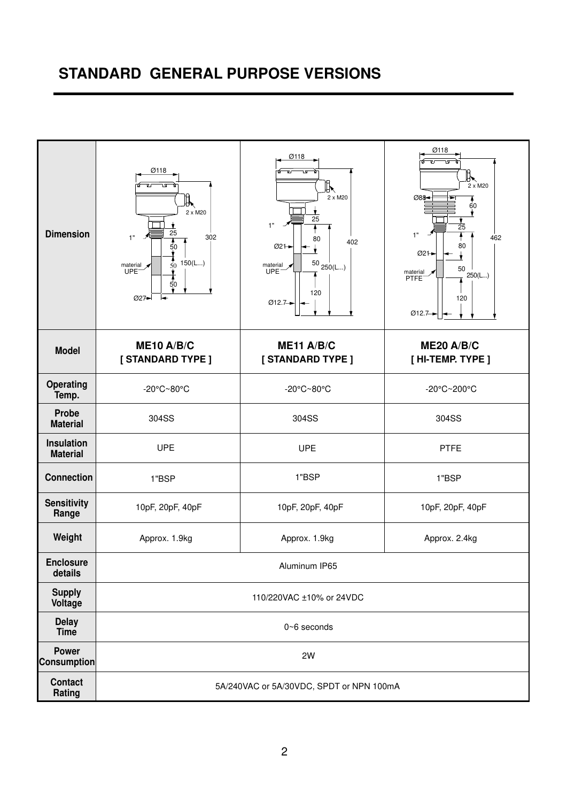### **STANDARD GENERAL PURPOSE VERSIONS**

| <b>Dimension</b>                     | Ø118<br>٦Ā<br>⊮⊾<br>2 x M20<br>25<br>302<br>1"<br>4<br>$\frac{50}{1}$<br>$\frac{1}{50}$ 150(L)<br>material $\star$<br>UPE <sup>-</sup><br>50<br>027-<br>┝┹ | Ø118<br>᠊ᢆ<br>ᇅ<br>ℝ<br>2 x M20<br>25<br>1"<br>80<br>402<br>Ø21→<br>$^{50}$ $_{250\text{(L)}}$<br>material y<br><b>UPE</b><br>120<br>$Ø12.7-$ | Ø118<br>╟<br>2 x M20<br>088-<br>۸<br>60<br>25<br>1"<br>462<br>80<br>Ø21→<br>50<br>material<br>250(L)<br><b>PTFE</b><br>120<br>Ø12.7 |  |  |
|--------------------------------------|------------------------------------------------------------------------------------------------------------------------------------------------------------|-----------------------------------------------------------------------------------------------------------------------------------------------|-------------------------------------------------------------------------------------------------------------------------------------|--|--|
| <b>Model</b>                         | ME10 A/B/C<br>[STANDARD TYPE ]                                                                                                                             | ME11 A/B/C<br>[STANDARD TYPE ]                                                                                                                | <b>ME20 A/B/C</b><br>$[$ HI-TEMP. TYPE $]$                                                                                          |  |  |
| <b>Operating</b><br>Temp.            | -20°C~80°C                                                                                                                                                 | -20°C~80°C                                                                                                                                    | -20°C~200°C                                                                                                                         |  |  |
| <b>Probe</b><br><b>Material</b>      | 304SS                                                                                                                                                      | 304SS                                                                                                                                         | 304SS                                                                                                                               |  |  |
| <b>Insulation</b><br><b>Material</b> | <b>UPE</b>                                                                                                                                                 | <b>UPE</b>                                                                                                                                    | <b>PTFE</b>                                                                                                                         |  |  |
| <b>Connection</b>                    | 1"BSP                                                                                                                                                      | 1"BSP                                                                                                                                         | 1"BSP                                                                                                                               |  |  |
| <b>Sensitivity</b><br>Range          | 10pF, 20pF, 40pF                                                                                                                                           | 10pF, 20pF, 40pF<br>10pF, 20pF, 40pF                                                                                                          |                                                                                                                                     |  |  |
| Weight                               | Approx. 1.9kg                                                                                                                                              | Approx. 1.9kg                                                                                                                                 | Approx. 2.4kg                                                                                                                       |  |  |
| <b>Enclosure</b><br>details          |                                                                                                                                                            | Aluminum IP65                                                                                                                                 |                                                                                                                                     |  |  |
| <b>Supply</b><br>Voltage             |                                                                                                                                                            | 110/220VAC ±10% or 24VDC                                                                                                                      |                                                                                                                                     |  |  |
| <b>Delay</b><br>Time                 |                                                                                                                                                            | 0~6 seconds                                                                                                                                   |                                                                                                                                     |  |  |
| <b>Power</b><br><b>Consumption</b>   |                                                                                                                                                            | 2W                                                                                                                                            |                                                                                                                                     |  |  |
| <b>Contact</b><br>Rating             |                                                                                                                                                            | 5A/240VAC or 5A/30VDC, SPDT or NPN 100mA                                                                                                      |                                                                                                                                     |  |  |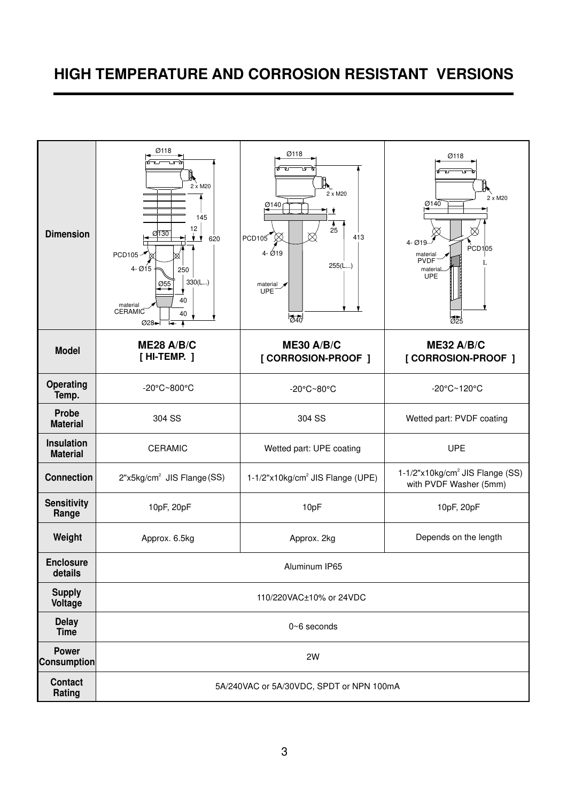## **HIGH TEMPERATURE AND CORROSION RESISTANT VERSIONS**

| <b>Dimension</b>                     | Ø118<br>2 x M20<br>145<br>12<br>0130<br>ŧγ<br>620<br>PCD105-<br>$4 - 015$<br>250<br>330(L)<br>Ø55<br>40<br>material<br><b>CERAMIC</b><br>40<br>Ø28-1 | Ø118<br>2 x M20<br>$\frac{\emptyset140}{}$<br>25<br>PCD105<br>413<br>$4 - 019$<br>255(L)<br>$M = UPE$<br>$\overline{\odot}$ 40 | Ø118<br>ו ק<br>2 x M20<br>Ø140<br>$4 - Ø19 -$<br>PCD1 05<br>material<br>PVDF<br>materia<br><b>UPE</b><br>$\overline{025}$ |  |  |
|--------------------------------------|------------------------------------------------------------------------------------------------------------------------------------------------------|--------------------------------------------------------------------------------------------------------------------------------|---------------------------------------------------------------------------------------------------------------------------|--|--|
| <b>Model</b>                         | <b>ME28 A/B/C</b><br>[HI-TEMP. ]                                                                                                                     | <b>ME30 A/B/C</b><br>[ CORROSION-PROOF ]                                                                                       | ME32 A/B/C<br>[ CORROSION-PROOF ]                                                                                         |  |  |
| Operating<br>Temp.                   | -20°C~800°C                                                                                                                                          | -20°C~80°C                                                                                                                     | -20°C~120°C                                                                                                               |  |  |
| Probe<br><b>Material</b>             | 304 SS                                                                                                                                               | 304 SS                                                                                                                         | Wetted part: PVDF coating                                                                                                 |  |  |
| <b>Insulation</b><br><b>Material</b> | <b>CERAMIC</b>                                                                                                                                       | Wetted part: UPE coating                                                                                                       | <b>UPE</b>                                                                                                                |  |  |
| <b>Connection</b>                    | 2"x5kg/cm <sup>2</sup> JIS Flange (SS)                                                                                                               | 1-1/2"x10kg/cm <sup>2</sup> JIS Flange (UPE)                                                                                   | 1-1/2"x10kg/cm <sup>2</sup> JIS Flange (SS)<br>with PVDF Washer (5mm)                                                     |  |  |
| <b>Sensitivity</b><br>Range          | 10pF, 20pF                                                                                                                                           | 10pF                                                                                                                           | 10pF, 20pF                                                                                                                |  |  |
| Weight                               | Approx. 6.5kg                                                                                                                                        | Approx. 2kg                                                                                                                    | Depends on the length                                                                                                     |  |  |
| <b>Enclosure</b><br>details          |                                                                                                                                                      | Aluminum IP65                                                                                                                  |                                                                                                                           |  |  |
| <b>Supply</b><br>Voltage             |                                                                                                                                                      | 110/220VAC±10% or 24VDC                                                                                                        |                                                                                                                           |  |  |
| <b>Delay</b><br><b>Time</b>          |                                                                                                                                                      | $0~6$ seconds                                                                                                                  |                                                                                                                           |  |  |
| <b>Power</b><br><b>Consumption</b>   |                                                                                                                                                      | 2W                                                                                                                             |                                                                                                                           |  |  |
| <b>Contact</b><br>Rating             |                                                                                                                                                      | 5A/240VAC or 5A/30VDC, SPDT or NPN 100mA                                                                                       |                                                                                                                           |  |  |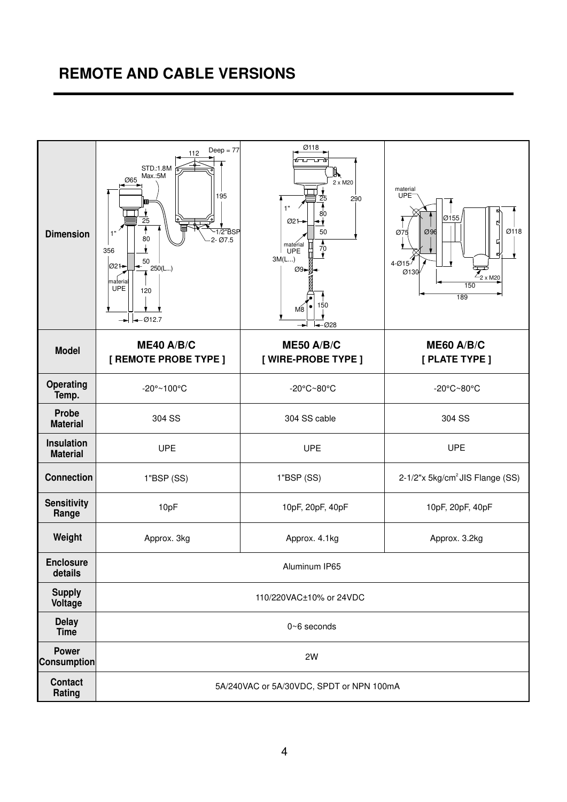### **REMOTE AND CABLE VERSIONS**

| <b>Dimension</b>                     | $Deep = 77$<br>112<br>STD.:1.8M<br>Max.:5M<br>065<br>195<br>25<br>$\overline{1/2}$ "BSP<br>1"<br>80<br>$2 - Ø7.5$<br>356<br>50<br>Ø21 <del>-</del><br>250(L)<br>materia<br><b>UPE</b><br>120<br>$\leftarrow \emptyset$ 12.7<br>╼ | Ø118<br>ھت<br>ℝ<br>2 x M20<br>25<br>290<br>1"<br>80<br>$Ø2$ 1<br>٠,<br>50<br>$\frac{1}{70}$<br>material<br>π<br><b>UPE</b><br>3M(L)<br>$\emptyset$ 9 -<br>150<br>M <sup>2</sup><br>$-028$ | material<br>UPE <sup>-</sup><br>Ø155<br>₫<br>Ø118<br>Ø96<br>Ø75<br>5<br>↲<br>4-Ø15 <sup>1</sup><br>$\overline{Z_{2 \times M20}}$<br>Ø130<br>150<br>189 |  |  |  |  |  |
|--------------------------------------|----------------------------------------------------------------------------------------------------------------------------------------------------------------------------------------------------------------------------------|-------------------------------------------------------------------------------------------------------------------------------------------------------------------------------------------|--------------------------------------------------------------------------------------------------------------------------------------------------------|--|--|--|--|--|
| <b>Model</b>                         | ME40 A/B/C<br>[ REMOTE PROBE TYPE ]                                                                                                                                                                                              | <b>ME50 A/B/C</b><br>[ WIRE-PROBE TYPE ]                                                                                                                                                  | <b>ME60 A/B/C</b><br>[ PLATE TYPE ]                                                                                                                    |  |  |  |  |  |
| <b>Operating</b><br>Temp.            | -20°~100°C                                                                                                                                                                                                                       | -20°C~80°C                                                                                                                                                                                | -20°C~80°C                                                                                                                                             |  |  |  |  |  |
| <b>Probe</b><br><b>Material</b>      | 304 SS                                                                                                                                                                                                                           | 304 SS cable                                                                                                                                                                              | 304 SS                                                                                                                                                 |  |  |  |  |  |
| <b>Insulation</b><br><b>Material</b> | <b>UPE</b>                                                                                                                                                                                                                       | <b>UPE</b>                                                                                                                                                                                | <b>UPE</b>                                                                                                                                             |  |  |  |  |  |
| <b>Connection</b>                    | 1"BSP(SS)                                                                                                                                                                                                                        | 1"BSP(SS)                                                                                                                                                                                 | 2-1/2"x 5kg/cm <sup>2</sup> JIS Flange (SS)                                                                                                            |  |  |  |  |  |
| <b>Sensitivity</b><br>Range          | 10pF                                                                                                                                                                                                                             | 10pF, 20pF, 40pF                                                                                                                                                                          | 10pF, 20pF, 40pF                                                                                                                                       |  |  |  |  |  |
| Weight                               | Approx. 4.1kg<br>Approx. 3kg<br>Approx. 3.2kg                                                                                                                                                                                    |                                                                                                                                                                                           |                                                                                                                                                        |  |  |  |  |  |
| <b>Enclosure</b><br>details          |                                                                                                                                                                                                                                  | Aluminum IP65                                                                                                                                                                             |                                                                                                                                                        |  |  |  |  |  |
| <b>Supply</b><br>Voltage             |                                                                                                                                                                                                                                  | 110/220VAC±10% or 24VDC                                                                                                                                                                   |                                                                                                                                                        |  |  |  |  |  |
| <b>Delay</b><br>Time                 |                                                                                                                                                                                                                                  | $0 - 6$ seconds                                                                                                                                                                           |                                                                                                                                                        |  |  |  |  |  |
| <b>Power</b><br><b>Consumption</b>   |                                                                                                                                                                                                                                  | 2W                                                                                                                                                                                        |                                                                                                                                                        |  |  |  |  |  |
| <b>Contact</b><br>Rating             |                                                                                                                                                                                                                                  | 5A/240VAC or 5A/30VDC, SPDT or NPN 100mA                                                                                                                                                  |                                                                                                                                                        |  |  |  |  |  |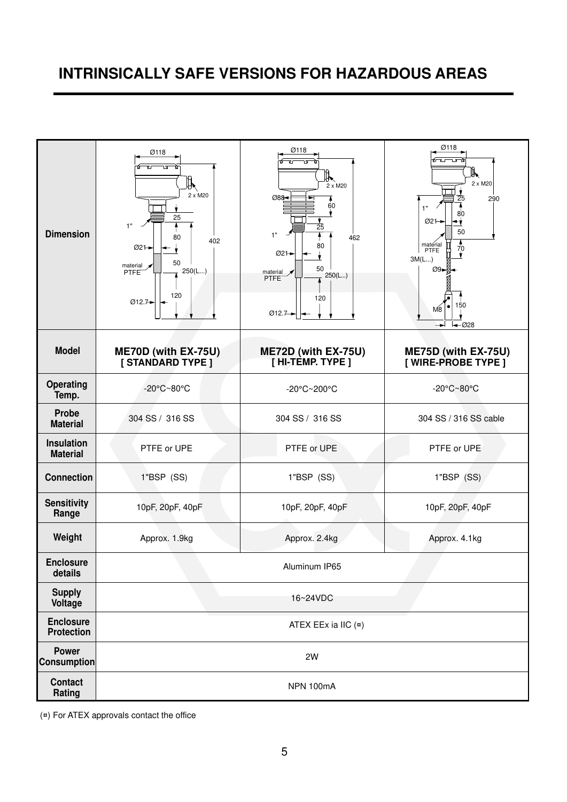### **INTRINSICALLY SAFE VERSIONS FOR HAZARDOUS AREAS**

| <b>Dimension</b>                      | Ø118<br>٦Δ<br>$\mathbb{I}'$<br>2 x M20<br>25<br>1"<br>80<br>402<br>Ø21→<br>50<br>material $\sqrt{}$<br>250(L)<br>PTFE<br>120<br>Ø12.7 | Ø118<br>叺<br>$2 \times M20$<br>088-<br>60<br>25<br>1"<br>462<br>80<br>Ø21-<br>50<br>material $\sqrt{}$<br>250(L)<br>PTFE <sup>®</sup><br>120<br>Ø12.7 <sup>-</sup> | Ø118<br>"<br>2 x M20<br>290<br>25<br>1"<br>80<br>$Ø2+$<br>٠,<br>50<br>$\frac{1}{70}$<br>material<br>PTFE<br>3M(L)<br>$\varnothing$ 9- $\varnothing$<br>150<br>M <sub>8</sub><br>$-028$ |
|---------------------------------------|---------------------------------------------------------------------------------------------------------------------------------------|--------------------------------------------------------------------------------------------------------------------------------------------------------------------|----------------------------------------------------------------------------------------------------------------------------------------------------------------------------------------|
| <b>Model</b>                          | ME70D (with EX-75U)<br>[STANDARD TYPE ]                                                                                               | ME72D (with EX-75U)<br>$[$ HI-TEMP. TYPE $]$                                                                                                                       | ME75D (with EX-75U)<br>[ WIRE-PROBE TYPE ]                                                                                                                                             |
| <b>Operating</b><br>Temp.             | -20°C~80°C                                                                                                                            | -20°C~200°C                                                                                                                                                        | -20°C~80°C                                                                                                                                                                             |
| <b>Probe</b><br><b>Material</b>       | 304 SS / 316 SS                                                                                                                       | 304 SS / 316 SS                                                                                                                                                    | 304 SS / 316 SS cable                                                                                                                                                                  |
| <b>Insulation</b><br><b>Material</b>  | PTFE or UPE                                                                                                                           | PTFE or UPE                                                                                                                                                        | PTFE or UPE                                                                                                                                                                            |
| <b>Connection</b>                     | 1"BSP (SS)                                                                                                                            | 1"BSP (SS)                                                                                                                                                         | 1"BSP (SS)                                                                                                                                                                             |
| <b>Sensitivity</b><br>Range           | 10pF, 20pF, 40pF                                                                                                                      | 10pF, 20pF, 40pF                                                                                                                                                   | 10pF, 20pF, 40pF                                                                                                                                                                       |
| Weight                                | Approx. 1.9kg                                                                                                                         | Approx. 2.4kg                                                                                                                                                      | Approx. 4.1kg                                                                                                                                                                          |
| <b>Enclosure</b><br>details           |                                                                                                                                       | Aluminum IP65                                                                                                                                                      |                                                                                                                                                                                        |
| <b>Supply</b><br>Voltage              |                                                                                                                                       | 16~24VDC                                                                                                                                                           |                                                                                                                                                                                        |
| <b>Enclosure</b><br><b>Protection</b> |                                                                                                                                       | ATEX EEx ia IIC (¤)                                                                                                                                                |                                                                                                                                                                                        |
| <b>Power</b><br><b>Consumption</b>    |                                                                                                                                       | 2W                                                                                                                                                                 |                                                                                                                                                                                        |
| <b>Contact</b><br>Rating              |                                                                                                                                       | NPN 100mA                                                                                                                                                          |                                                                                                                                                                                        |

(¤) For ATEX approvals contact the office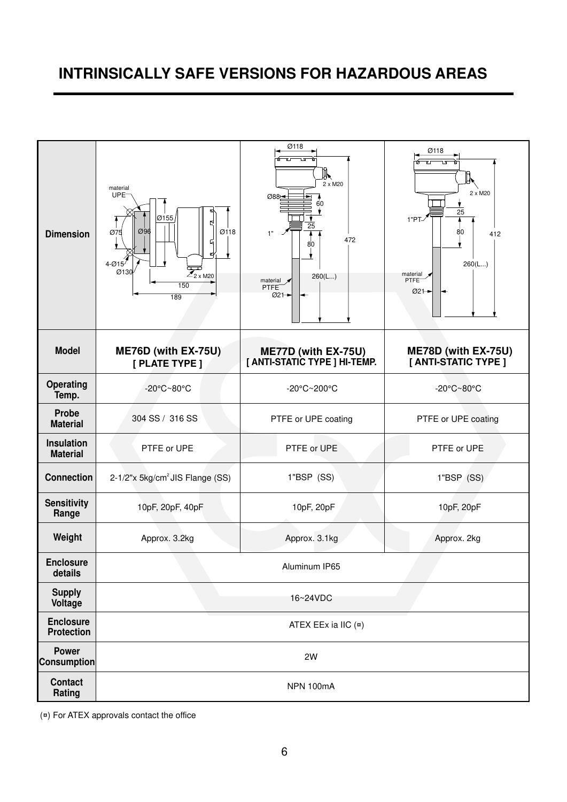### **INTRINSICALLY SAFE VERSIONS FOR HAZARDOUS AREAS**



(¤) For ATEX approvals contact the office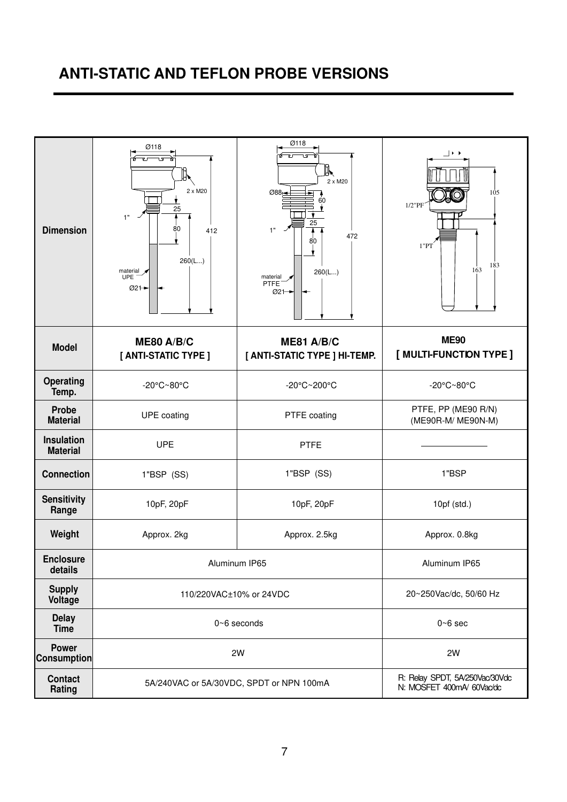### **ANTI-STATIC AND TEFLON PROBE VERSIONS**

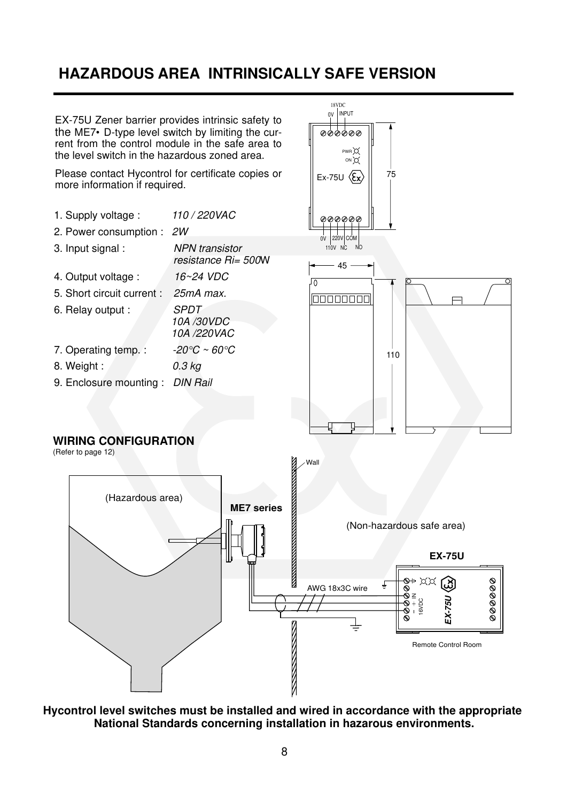### **HAZARDOUS AREA INTRINSICALLY SAFE VERSION**



**Hycontrol level switches must be installed and wired in accordance with the appropriate National Standards concerning installation in hazarous environments.**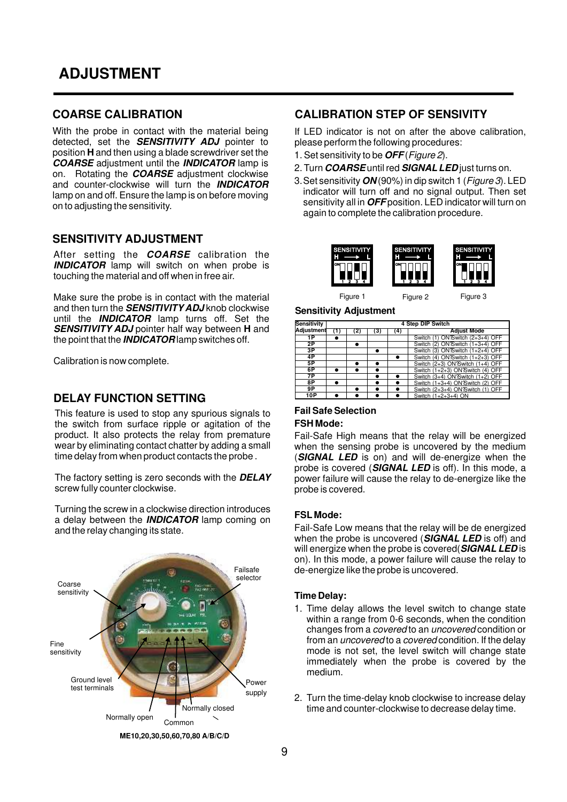#### **COARSE CALIBRATION**

With the probe in contact with the material being detected, set the **SENSITIVITY ADJ** pointer to position **H** and then using a blade screwdriver set the **COARSE** adjustment until the **INDICATOR** lamp is on. Rotating the **COARSE** adjustment clockwise and counter-clockwise will turn the **INDICATOR** lamp on and off. Ensure the lamp is on before moving on to adjusting the sensitivity.

#### **SENSITIVITY ADJUSTMENT**

After setting the **COARSE** calibration the **INDICATOR** lamp will switch on when probe is touching the material and off when in free air.

Make sure the probe is in contact with the material and then turn the **SENSITIVITY ADJ** knob clockwise until the **INDICATOR** lamp turns off. Set the **SENSITIVITY ADJ** pointer half way between **H** and the point that the **INDICATOR** lamp switches off.

Calibration is now complete.

#### **DELAY FUNCTION SETTING**

This feature is used to stop any spurious signals to the switch from surface ripple or agitation of the product. It also protects the relay from premature wear by eliminating contact chatter by adding a small time delay from when product contacts the probe .

The factory setting is zero seconds with the **DELAY** screw fully counter clockwise.

Turning the screw in a clockwise direction introduces a delay between the **INDICATOR** lamp coming on and the relay changing its state.



**ME10,20,30,50,60,70,80 A/B/C/D**

#### **CALIBRATION STEP OF SENSIVITY**

If LED indicator is not on after the above calibration, please perform the following procedures:

- 1. Set sensitivity to be **OFF** (Figure 2).
- 2. Turn **COARSE** until red **SIGNAL LED** just turns on.
- 3. Set sensitivity **ON** (90%) in dip switch 1(Figure 3). LED indicator will turn off and no signal output. Then set sensitivity all in **OFF** position. LED indicator will turn on again to complete the calibration procedure.



Figure 1 Figure 2 Figure 3

**Sensitivity Adjustment**

| <b>Sensitivity</b> |  |   | 4 Step DIP Switch                |
|--------------------|--|---|----------------------------------|
| Adjustment         |  | з | <b>Adjust Mode</b>               |
| $\overline{1P}$    |  |   | Switch (1) ON'Switch (2+3+4) OFF |
| 2P                 |  |   | Switch (2) ON'Switch (1+3+4) OFF |
| 3Р                 |  |   | Switch (3) ON'Switch (1+2+4) OFF |
| 4P                 |  |   | Switch (4) ON'Switch (1+2+3) OFF |
| 5P                 |  |   | Switch (2+3) ON'Switch (1+4) OFF |
| 6P                 |  |   | Switch (1+2+3) ON'Switch (4) OFF |
| 7P                 |  |   | Switch (3+4) ON'Switch (1+2) OFF |
| 8P                 |  |   | Switch (1+3+4) ON'Switch (2) OFF |
| 9P                 |  |   | Switch (2+3+4) ON'Switch (1) OFF |
| 10P                |  |   | Switch (1+2+3+4) ON              |

### **Fail Safe Selection**

#### **FSH Mode:**

Fail-Safe High means that the relay will be energized when the sensing probe is uncovered by the medium (**SIGNAL LED** is on) and will de-energize when the probe is covered (**SIGNAL LED** is off). In this mode, a power failure will cause the relay to de-energize like the probe is covered.

#### **FSL Mode:**

Fail-Safe Low means that the relay will be de energized when the probe is uncovered (**SIGNAL LED** is off) and will energize when the probe is covered(**SIGNAL LED** is on). In this mode, a power failure will cause the relay to de-energize like the probe is uncovered.

#### **Time Delay:**

- 1. Time delay allows the level switch to change state within a range from 0-6 seconds, when the condition changes from a covered to an uncovered condition or from an uncovered to a covered condition. If the delay mode is not set, the level switch will change state immediately when the probe is covered by the medium.
- 2. Turn the time-delay knob clockwise to increase delay time and counter-clockwise to decrease delay time.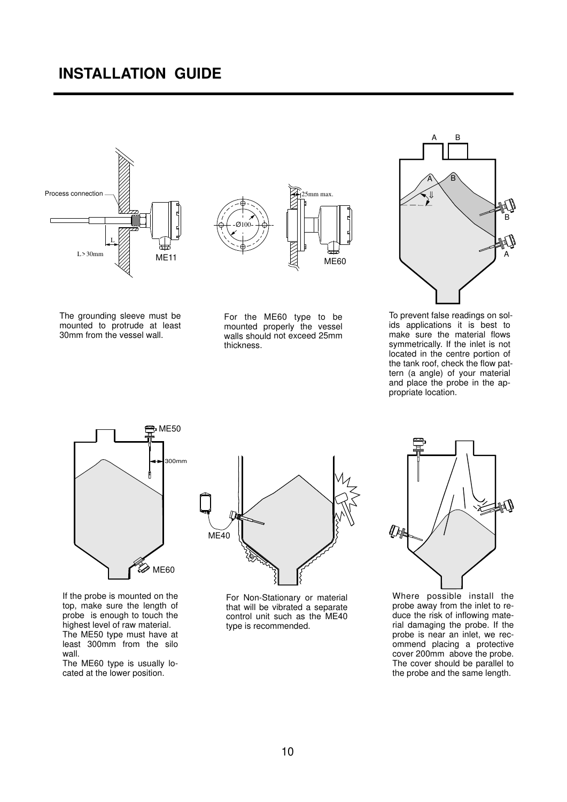### **INSTALLATION GUIDE**





The grounding sleeve must be mounted to protrude at least 30mm from the vessel wall.

For the ME60 type to be mounted properly the vessel walls should not exceed 25mm thickness.

25mm max.



To prevent false readings on solids applications it is best to make sure the material flows symmetrically. If the inlet is not located in the centre portion of the tank roof, check the flow pattern (a angle) of your material and place the probe in the appropriate location.



If the probe is mounted on the top, make sure the length of probe is enough to touch the highest level of raw material. The ME50 type must have at least 300mm from the silo wall.

The ME60 type is usually located at the lower position.



For Non-Stationary or material that will be vibrated a separate control unit such as the ME40 type is recommended.



Where possible install the probe away from the inlet to reduce the risk of inflowing material damaging the probe. If the probe is near an inlet, we recommend placing a protective cover 200mm above the probe. The cover should be parallel to the probe and the same length.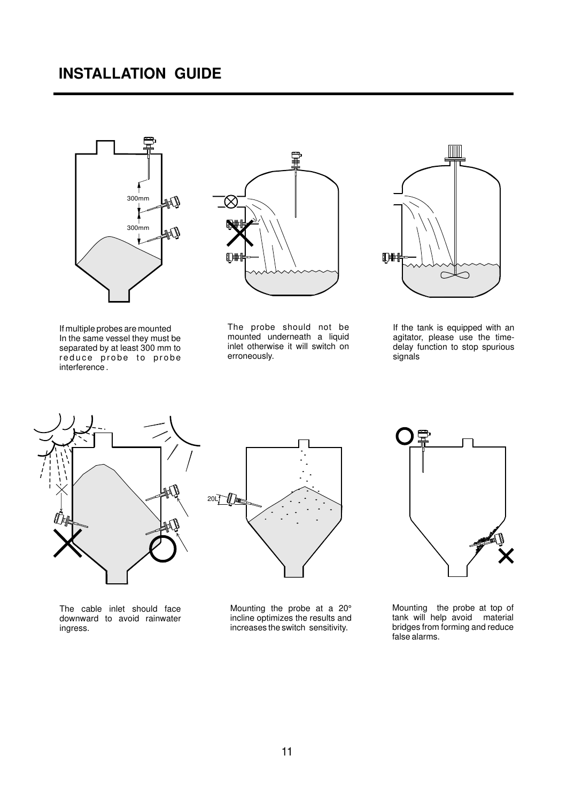

If multiple probes are mounted In the same vessel they must be separated by at least 300 mm to reduce probe to probe interference .



The probe should not be mounted underneath a liquid inlet otherwise it will switch on erroneously.



If the tank is equipped with an agitator, please use the timedelay function to stop spurious signals



The cable inlet should face downward to avoid rainwater ingress.

20LT  $\mathbb{D}$ 

Mounting the probe at a 20° incline optimizes the results and increases the switch sensitivity.



Mounting the probe at top of tank will help avoid material bridges from forming and reduce false alarms.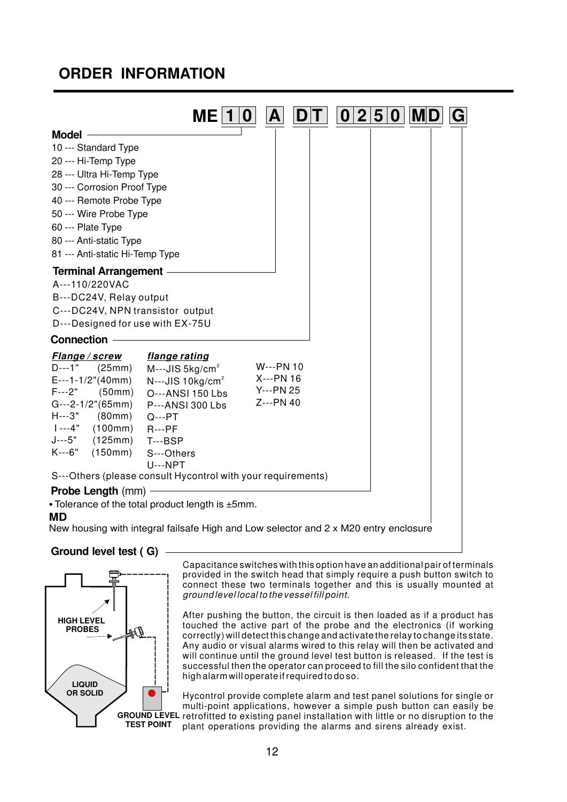### **ORDER INFORMATION**

| <b>Model</b><br>10 --- Standard Type<br>20 --- Hi-Temp Type<br>28 --- Ultra Hi-Temp Type<br>30 --- Corrosion Proof Type<br>40 --- Remote Probe Type<br>50 --- Wire Probe Type | ME.                     |           | 0 2 5 | $\boldsymbol{0}$ | MIL |  |
|-------------------------------------------------------------------------------------------------------------------------------------------------------------------------------|-------------------------|-----------|-------|------------------|-----|--|
|                                                                                                                                                                               |                         |           |       |                  |     |  |
|                                                                                                                                                                               |                         |           |       |                  |     |  |
|                                                                                                                                                                               |                         |           |       |                  |     |  |
|                                                                                                                                                                               |                         |           |       |                  |     |  |
|                                                                                                                                                                               |                         |           |       |                  |     |  |
|                                                                                                                                                                               |                         |           |       |                  |     |  |
|                                                                                                                                                                               |                         |           |       |                  |     |  |
| 60 --- Plate Type                                                                                                                                                             |                         |           |       |                  |     |  |
| 80 --- Anti-static Type                                                                                                                                                       |                         |           |       |                  |     |  |
| 81 --- Anti-static Hi-Temp Type                                                                                                                                               |                         |           |       |                  |     |  |
| <b>Terminal Arrangement -</b>                                                                                                                                                 |                         |           |       |                  |     |  |
| A---110/220VAC                                                                                                                                                                |                         |           |       |                  |     |  |
| B---DC24V, Relay output                                                                                                                                                       |                         |           |       |                  |     |  |
| C---DC24V, NPN transistor output                                                                                                                                              |                         |           |       |                  |     |  |
| D---Designed for use with EX-75U                                                                                                                                              |                         |           |       |                  |     |  |
| <b>Connection</b>                                                                                                                                                             |                         |           |       |                  |     |  |
| flange rating<br>Flange/screw                                                                                                                                                 |                         |           |       |                  |     |  |
| D---1"<br>(25mm)                                                                                                                                                              | $M--JIS 5kg/cm2$        | W---PN 10 |       |                  |     |  |
| $E--1-1/2" (40mm)$                                                                                                                                                            | $N--JIS 10kg/cm2$       | X---PN 16 |       |                  |     |  |
| $F--2"$ (50mm)                                                                                                                                                                | O---ANSI 150 Lbs        | Y---PN 25 |       |                  |     |  |
| $G--2-1/2" (65mm)$                                                                                                                                                            | <b>P---ANSI 300 Lbs</b> | Z---PN 40 |       |                  |     |  |
| $H--3"$ (80mm)<br>$Q--PT$                                                                                                                                                     |                         |           |       |                  |     |  |
| $1 - -4"$<br>(100mm)<br>$R--PF$<br>J---5"<br>(125mm)                                                                                                                          |                         |           |       |                  |     |  |
| $T--BSP$<br>$K--6"$<br>(150mm)<br>S---Others                                                                                                                                  |                         |           |       |                  |     |  |
| $U--NPT$                                                                                                                                                                      |                         |           |       |                  |     |  |
| S---Others (please consult Hycontrol with your requirements)                                                                                                                  |                         |           |       |                  |     |  |
| <b>Probe Length (mm)</b>                                                                                                                                                      |                         |           |       |                  |     |  |
| • Tolerance of the total product length is ±5mm.                                                                                                                              |                         |           |       |                  |     |  |
| <b>MD</b>                                                                                                                                                                     |                         |           |       |                  |     |  |
| New housing with integral failsafe High and Low selector and 2 x M20 entry enclosure                                                                                          |                         |           |       |                  |     |  |

#### **Ground level test ( G)**



Capacitance switches with this option have an additional pair of terminals provided in the switch head that simply require a push button switch to connect these two terminals together and this is usually mounted at ground level local to the vessel fill point.

After pushing the button, the circuit is then loaded as if a product has touched the active part of the probe and the electronics (if working correctly) will detect this change and activate the relay to change its state. Any audio or visual alarms wired to this relay will then be activated and will continue until the ground level test button is released. If the test is successful then the operator can proceed to fill the silo confident that the high alarm will operate if required to do so.

**GROUND LEVEL** retrofitted to existing panel installation with little or no disruption to the Hycontrol provide complete alarm and test panel solutions for single or multi-point applications, however a simple push button can easily be plant operations providing the alarms and sirens already exist.